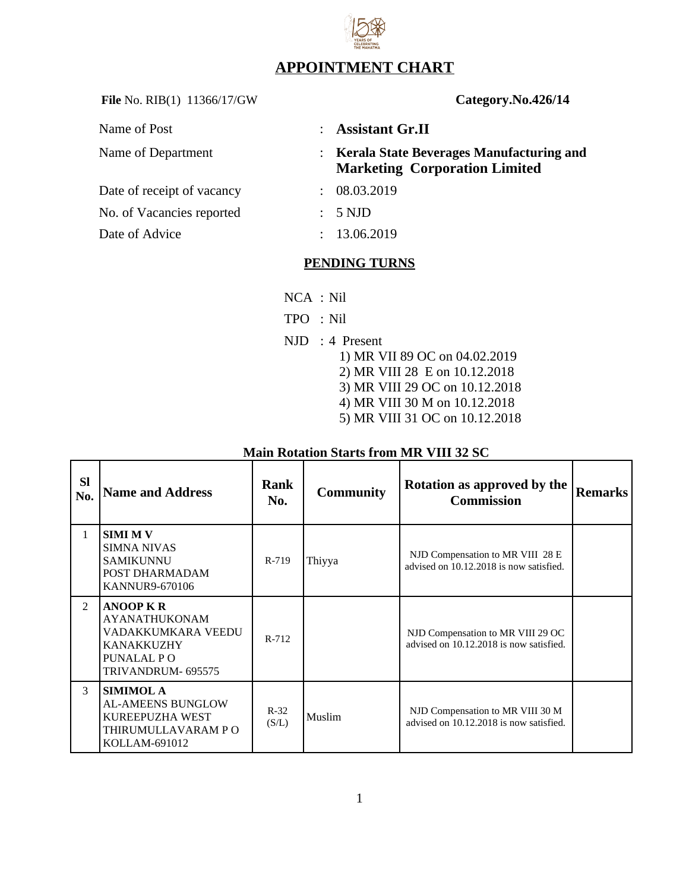

## **APPOINTMENT CHART**

File No. RIB(1) 11366/17/GW **Category.No.426/14** 

| Name of Post               |               | $:$ Assistant Gr.II                                                                     |
|----------------------------|---------------|-----------------------------------------------------------------------------------------|
| Name of Department         |               | <b>Kerala State Beverages Manufacturing and</b><br><b>Marketing Corporation Limited</b> |
| Date of receipt of vacancy | ÷             | 08.03.2019                                                                              |
| No. of Vacancies reported  | $\mathcal{L}$ | 5 NJD                                                                                   |
| Date of Advice             |               | 13.06.2019                                                                              |

### **PENDING TURNS**

- NCA : Nil
- TPO : Nil
- NJD : 4 Present
	- 1) MR VII 89 OC on 04.02.2019 2) MR VIII 28 E on 10.12.2018 3) MR VIII 29 OC on 10.12.2018 4) MR VIII 30 M on 10.12.2018 5) MR VIII 31 OC on 10.12.2018

| <b>SI</b><br>No. | <b>Name and Address</b>                                                                                                 | Rank<br>No.     | <b>Community</b> | Rotation as approved by the<br><b>Commission</b>                             | Remarks |
|------------------|-------------------------------------------------------------------------------------------------------------------------|-----------------|------------------|------------------------------------------------------------------------------|---------|
| $\mathbf{1}$     | <b>SIMI M V</b><br>SIMNA NIVAS<br><b>SAMIKUNNU</b><br>POST DHARMADAM<br>KANNUR9-670106                                  | R-719           | Thiyya           | NJD Compensation to MR VIII 28 E<br>advised on 10.12.2018 is now satisfied.  |         |
| $\mathcal{P}$    | <b>ANOOP K R</b><br><b>AYANATHUKONAM</b><br>VADAKKUMKARA VEEDU<br><b>KANAKKUZHY</b><br>PUNALAL PO<br>TRIVANDRUM- 695575 | R-712           |                  | NJD Compensation to MR VIII 29 OC<br>advised on 10.12.2018 is now satisfied. |         |
| 3                | <b>SIMIMOL A</b><br><b>AL-AMEENS BUNGLOW</b><br>KUREEPUZHA WEST<br>THIRUMULLAVARAM PO<br>KOLLAM-691012                  | $R-32$<br>(S/L) | Muslim           | NJD Compensation to MR VIII 30 M<br>advised on 10.12.2018 is now satisfied.  |         |

#### **Main Rotation Starts from MR VIII 32 SC**